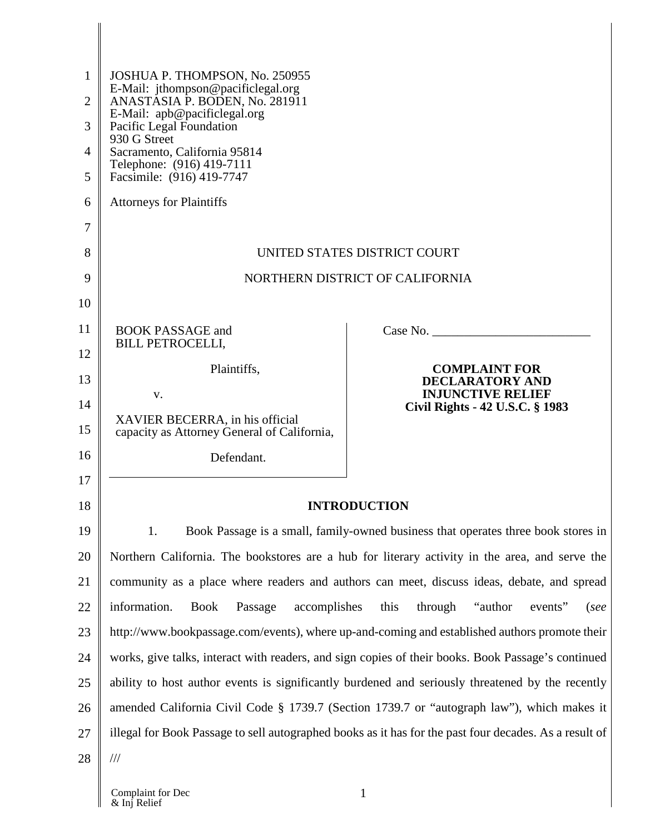| 1              | JOSHUA P. THOMPSON, No. 250955                                                                                                                                                                       |                                                                                   |  |
|----------------|------------------------------------------------------------------------------------------------------------------------------------------------------------------------------------------------------|-----------------------------------------------------------------------------------|--|
| $\overline{2}$ | E-Mail: jthompson@pacificlegal.org<br>ANASTĂSIA P. BODEN, No. 281911                                                                                                                                 |                                                                                   |  |
| 3              | E-Mail: apb@pacificlegal.org<br>Pacific Legal Foundation                                                                                                                                             |                                                                                   |  |
| 4              | 930 G Street<br>Sacramento, California 95814<br>Telephone: (916) 419-7111                                                                                                                            |                                                                                   |  |
| 5              | Facsimile: (916) 419-7747                                                                                                                                                                            |                                                                                   |  |
| 6              | <b>Attorneys for Plaintiffs</b>                                                                                                                                                                      |                                                                                   |  |
| 7              |                                                                                                                                                                                                      |                                                                                   |  |
| 8              |                                                                                                                                                                                                      | UNITED STATES DISTRICT COURT                                                      |  |
| 9              |                                                                                                                                                                                                      | NORTHERN DISTRICT OF CALIFORNIA                                                   |  |
| 10             |                                                                                                                                                                                                      |                                                                                   |  |
| 11             | <b>BOOK PASSAGE and</b><br><b>BILL PETROCELLI,</b>                                                                                                                                                   | Case No.                                                                          |  |
| 12             | Plaintiffs,                                                                                                                                                                                          | <b>COMPLAINT FOR</b>                                                              |  |
| 13             | V.                                                                                                                                                                                                   | <b>DECLARATORY AND</b><br><b>INJUNCTIVE RELIEF</b>                                |  |
| 14             | XAVIER BECERRA, in his official                                                                                                                                                                      | Civil Rights - 42 U.S.C. § 1983                                                   |  |
| 15             | capacity as Attorney General of California,                                                                                                                                                          |                                                                                   |  |
| 16             | Defendant.                                                                                                                                                                                           |                                                                                   |  |
| 17             |                                                                                                                                                                                                      |                                                                                   |  |
| 18             |                                                                                                                                                                                                      | <b>INTRODUCTION</b>                                                               |  |
| 19             | 1.                                                                                                                                                                                                   | Book Passage is a small, family-owned business that operates three book stores in |  |
| 20             | Northern California. The bookstores are a hub for literary activity in the area, and serve the                                                                                                       |                                                                                   |  |
| 21             | community as a place where readers and authors can meet, discuss ideas, debate, and spread                                                                                                           |                                                                                   |  |
| 22             | information.<br><b>Book</b><br>Passage<br>accomplishes                                                                                                                                               | this<br>"author"<br>through<br>events"<br>(see                                    |  |
| 23             | http://www.bookpassage.com/events), where up-and-coming and established authors promote their                                                                                                        |                                                                                   |  |
| 24             | works, give talks, interact with readers, and sign copies of their books. Book Passage's continued                                                                                                   |                                                                                   |  |
| 25             | ability to host author events is significantly burdened and seriously threatened by the recently                                                                                                     |                                                                                   |  |
| 26<br>27       | amended California Civil Code § 1739.7 (Section 1739.7 or "autograph law"), which makes it<br>illegal for Book Passage to sell autographed books as it has for the past four decades. As a result of |                                                                                   |  |
| 28             | $/\!/ \!/$                                                                                                                                                                                           |                                                                                   |  |
|                |                                                                                                                                                                                                      |                                                                                   |  |

I

 $\mathbf{l}$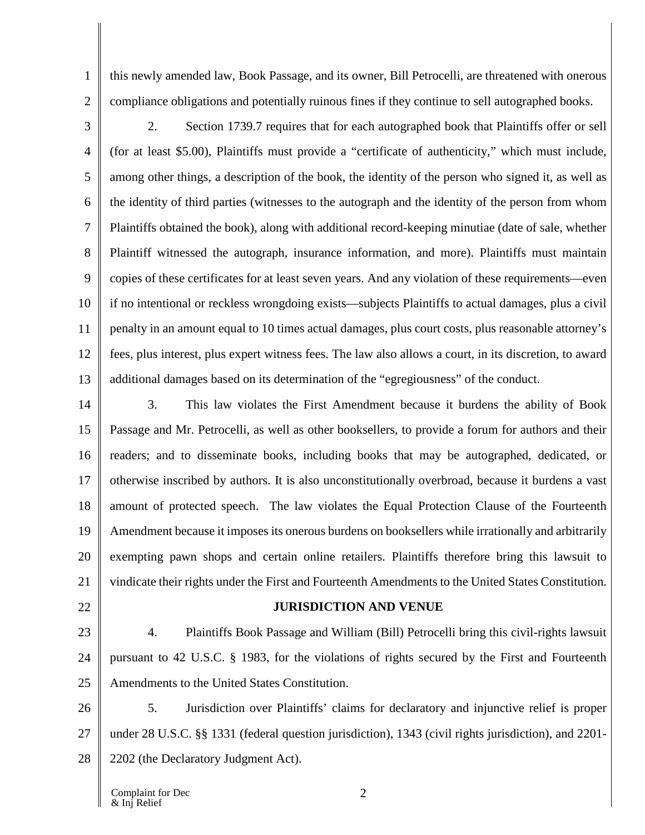this newly amended law, Book Passage, and its owner, Bill Petrocelli, are threatened with onerous compliance obligations and potentially ruinous fines if they continue to sell autographed books.

3 4 5 6 7 8 9 10 11 12 13 2. Section 1739.7 requires that for each autographed book that Plaintiffs offer or sell (for at least \$5.00), Plaintiffs must provide a "certificate of authenticity," which must include, among other things, a description of the book, the identity of the person who signed it, as well as the identity of third parties (witnesses to the autograph and the identity of the person from whom Plaintiffs obtained the book), along with additional record-keeping minutiae (date of sale, whether Plaintiff witnessed the autograph, insurance information, and more). Plaintiffs must maintain copies of these certificates for at least seven years. And any violation of these requirements—even if no intentional or reckless wrongdoing exists—subjects Plaintiffs to actual damages, plus a civil penalty in an amount equal to 10 times actual damages, plus court costs, plus reasonable attorney's fees, plus interest, plus expert witness fees. The law also allows a court, in its discretion, to award additional damages based on its determination of the "egregiousness" of the conduct.

14 15 16 17 18 19 20 21 3. This law violates the First Amendment because it burdens the ability of Book Passage and Mr. Petrocelli, as well as other booksellers, to provide a forum for authors and their readers; and to disseminate books, including books that may be autographed, dedicated, or otherwise inscribed by authors. It is also unconstitutionally overbroad, because it burdens a vast amount of protected speech. The law violates the Equal Protection Clause of the Fourteenth Amendment because it imposes its onerous burdens on booksellers while irrationally and arbitrarily exempting pawn shops and certain online retailers. Plaintiffs therefore bring this lawsuit to vindicate their rights under the First and Fourteenth Amendments to the United States Constitution.

22

1

2

# **JURISDICTION AND VENUE**

23 24 25 4. Plaintiffs Book Passage and William (Bill) Petrocelli bring this civil-rights lawsuit pursuant to 42 U.S.C. § 1983, for the violations of rights secured by the First and Fourteenth Amendments to the United States Constitution.

26 27 28 5. Jurisdiction over Plaintiffs' claims for declaratory and injunctive relief is proper under 28 U.S.C. §§ 1331 (federal question jurisdiction), 1343 (civil rights jurisdiction), and 2201- 2202 (the Declaratory Judgment Act).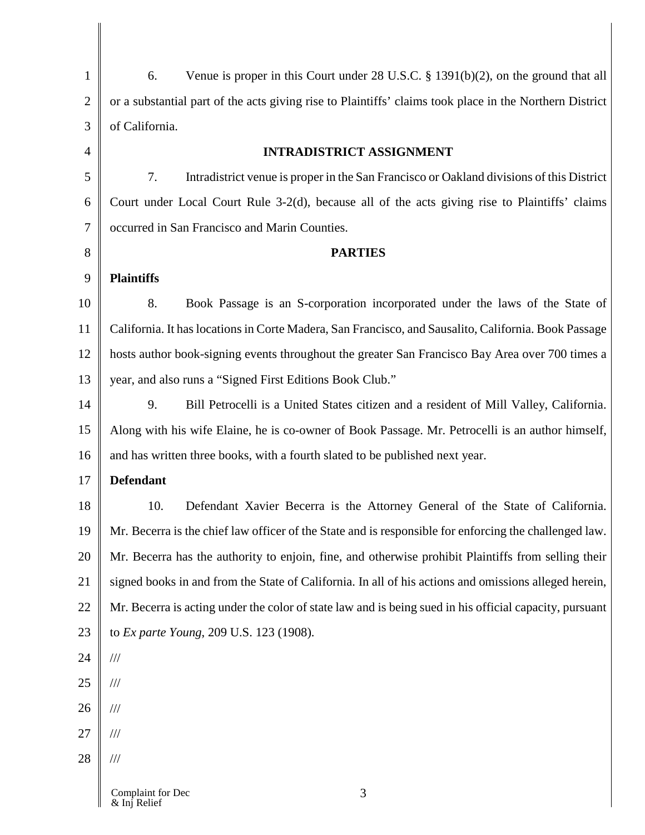| $\mathbf{1}$   | Venue is proper in this Court under $28$ U.S.C. § 1391(b)(2), on the ground that all<br>6.              |
|----------------|---------------------------------------------------------------------------------------------------------|
| $\overline{2}$ | or a substantial part of the acts giving rise to Plaintiffs' claims took place in the Northern District |
| 3              | of California.                                                                                          |
| $\overline{4}$ | <b>INTRADISTRICT ASSIGNMENT</b>                                                                         |
| 5              | 7.<br>Intradistrict venue is proper in the San Francisco or Oakland divisions of this District          |
| 6              | Court under Local Court Rule 3-2(d), because all of the acts giving rise to Plaintiffs' claims          |
| $\tau$         | occurred in San Francisco and Marin Counties.                                                           |
| 8              | <b>PARTIES</b>                                                                                          |
| 9              | <b>Plaintiffs</b>                                                                                       |
| 10             | 8.<br>Book Passage is an S-corporation incorporated under the laws of the State of                      |
| 11             | California. It has locations in Corte Madera, San Francisco, and Sausalito, California. Book Passage    |
| 12             | hosts author book-signing events throughout the greater San Francisco Bay Area over 700 times a         |
| 13             | year, and also runs a "Signed First Editions Book Club."                                                |
| 14             | 9.<br>Bill Petrocelli is a United States citizen and a resident of Mill Valley, California.             |
| 15             | Along with his wife Elaine, he is co-owner of Book Passage. Mr. Petrocelli is an author himself,        |
| 16             | and has written three books, with a fourth slated to be published next year.                            |
| 17             | <b>Defendant</b>                                                                                        |
| 18             | 10.<br>Defendant Xavier Becerra is the Attorney General of the State of California.                     |
| 19             | Mr. Becerra is the chief law officer of the State and is responsible for enforcing the challenged law.  |
| 20             | Mr. Becerra has the authority to enjoin, fine, and otherwise prohibit Plaintiffs from selling their     |
| 21             | signed books in and from the State of California. In all of his actions and omissions alleged herein,   |
| 22             | Mr. Becerra is acting under the color of state law and is being sued in his official capacity, pursuant |
| 23             | to Ex parte Young, 209 U.S. 123 (1908).                                                                 |
| 24             | $/\!/ \!/$                                                                                              |
| 25             | $\frac{1}{1}$                                                                                           |
| 26             | $\frac{1}{1}$                                                                                           |
| 27             | $\frac{1}{1}$                                                                                           |
| 28             | $\frac{1}{1}$                                                                                           |
|                | Complaint for Dec<br>3<br>& Inj Relief                                                                  |

& Inj Relief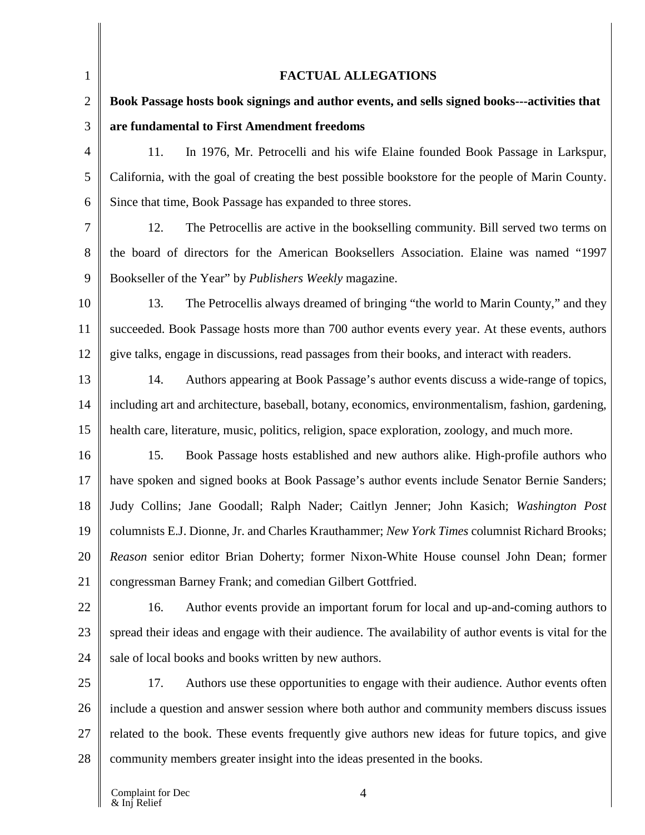| $\mathbf{1}$   | <b>FACTUAL ALLEGATIONS</b>                                                                            |
|----------------|-------------------------------------------------------------------------------------------------------|
| $\overline{2}$ | Book Passage hosts book signings and author events, and sells signed books---activities that          |
| 3              | are fundamental to First Amendment freedoms                                                           |
| 4              | 11.<br>In 1976, Mr. Petrocelli and his wife Elaine founded Book Passage in Larkspur,                  |
| 5              | California, with the goal of creating the best possible bookstore for the people of Marin County.     |
| 6              | Since that time, Book Passage has expanded to three stores.                                           |
| 7              | 12.<br>The Petrocellis are active in the bookselling community. Bill served two terms on              |
| 8              | the board of directors for the American Booksellers Association. Elaine was named "1997               |
| 9              | Bookseller of the Year" by <i>Publishers Weekly</i> magazine.                                         |
| 10             | 13.<br>The Petrocellis always dreamed of bringing "the world to Marin County," and they               |
| 11             | succeeded. Book Passage hosts more than 700 author events every year. At these events, authors        |
| 12             | give talks, engage in discussions, read passages from their books, and interact with readers.         |
| 13             | 14.<br>Authors appearing at Book Passage's author events discuss a wide-range of topics,              |
| 14             | including art and architecture, baseball, botany, economics, environmentalism, fashion, gardening,    |
| 15             | health care, literature, music, politics, religion, space exploration, zoology, and much more.        |
| 16             | 15.<br>Book Passage hosts established and new authors alike. High-profile authors who                 |
| 17             | have spoken and signed books at Book Passage's author events include Senator Bernie Sanders;          |
| 18             | Judy Collins; Jane Goodall; Ralph Nader; Caitlyn Jenner; John Kasich; Washington Post                 |
| 19             | columnists E.J. Dionne, Jr. and Charles Krauthammer; New York Times columnist Richard Brooks;         |
| 20             | Reason senior editor Brian Doherty; former Nixon-White House counsel John Dean; former                |
| 21             | congressman Barney Frank; and comedian Gilbert Gottfried.                                             |
| 22             | 16.<br>Author events provide an important forum for local and up-and-coming authors to                |
| 23             | spread their ideas and engage with their audience. The availability of author events is vital for the |
| 24             | sale of local books and books written by new authors.                                                 |
| 25             | 17.<br>Authors use these opportunities to engage with their audience. Author events often             |
| 26             | include a question and answer session where both author and community members discuss issues          |
| 27             | related to the book. These events frequently give authors new ideas for future topics, and give       |
| 28             | community members greater insight into the ideas presented in the books.                              |

II

I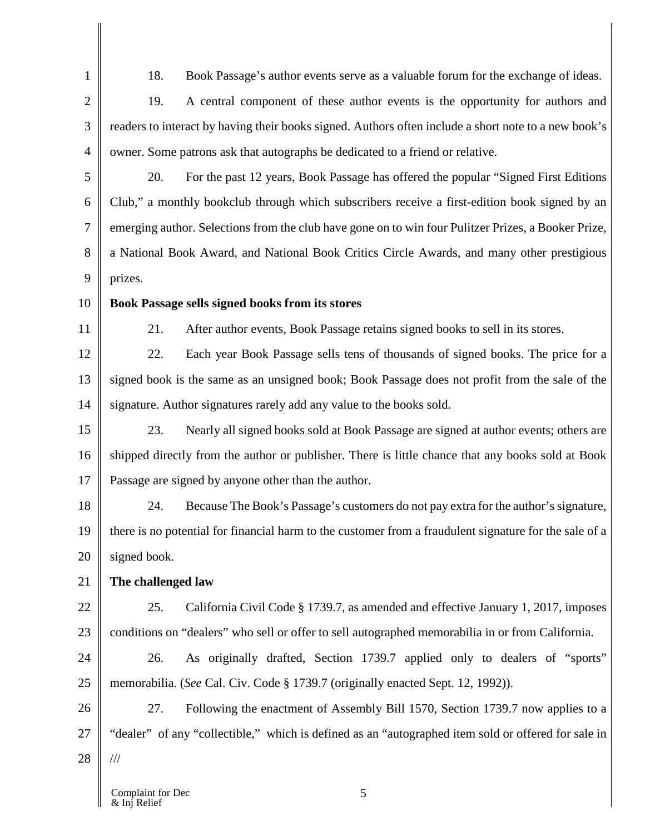1 2 18. Book Passage's author events serve as a valuable forum for the exchange of ideas.

3 4 19. A central component of these author events is the opportunity for authors and readers to interact by having their books signed. Authors often include a short note to a new book's owner. Some patrons ask that autographs be dedicated to a friend or relative.

5 6 7 8 9 20. For the past 12 years, Book Passage has offered the popular "Signed First Editions Club," a monthly bookclub through which subscribers receive a first-edition book signed by an emerging author. Selections from the club have gone on to win four Pulitzer Prizes, a Booker Prize, a National Book Award, and National Book Critics Circle Awards, and many other prestigious prizes.

10

# **Book Passage sells signed books from its stores**

11

21. After author events, Book Passage retains signed books to sell in its stores.

12 13 14 22. Each year Book Passage sells tens of thousands of signed books. The price for a signed book is the same as an unsigned book; Book Passage does not profit from the sale of the signature. Author signatures rarely add any value to the books sold.

15 16 17 23. Nearly all signed books sold at Book Passage are signed at author events; others are shipped directly from the author or publisher. There is little chance that any books sold at Book Passage are signed by anyone other than the author.

18 19 20 24. Because The Book's Passage's customers do not pay extra for the author's signature, there is no potential for financial harm to the customer from a fraudulent signature for the sale of a signed book.

#### 21 **The challenged law**

22 23 25. California Civil Code § 1739.7, as amended and effective January 1, 2017, imposes conditions on "dealers" who sell or offer to sell autographed memorabilia in or from California.

24 25 26. As originally drafted, Section 1739.7 applied only to dealers of "sports" memorabilia. (*See* Cal. Civ. Code § 1739.7 (originally enacted Sept. 12, 1992)).

26 27 28 27. Following the enactment of Assembly Bill 1570, Section 1739.7 now applies to a "dealer" of any "collectible," which is defined as an "autographed item sold or offered for sale in ///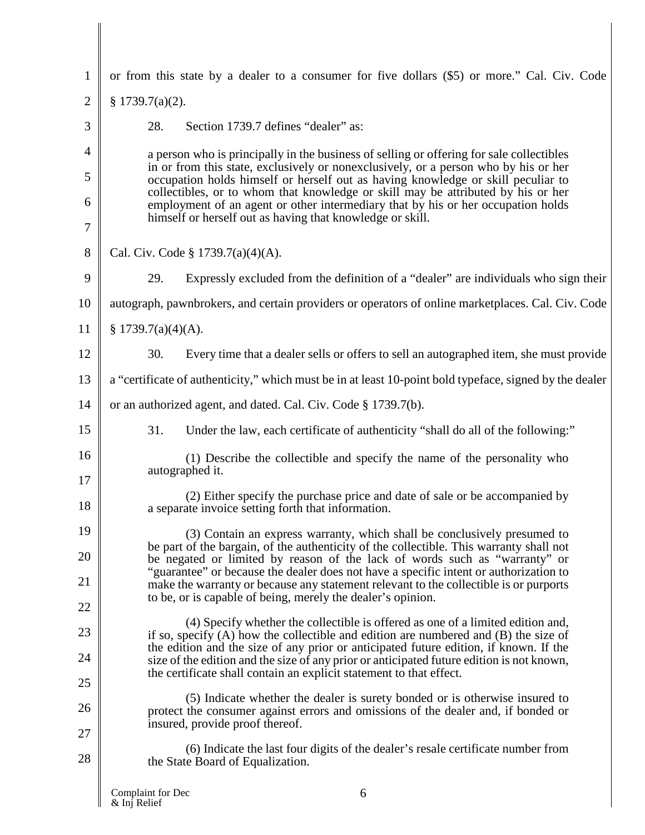| 1              | or from this state by a dealer to a consumer for five dollars (\$5) or more." Cal. Civ. Code                                                                                                                                                                                                                                                                                                                                                                                                              |  |  |
|----------------|-----------------------------------------------------------------------------------------------------------------------------------------------------------------------------------------------------------------------------------------------------------------------------------------------------------------------------------------------------------------------------------------------------------------------------------------------------------------------------------------------------------|--|--|
| $\overline{2}$ | \$1739.7(a)(2).                                                                                                                                                                                                                                                                                                                                                                                                                                                                                           |  |  |
| 3              | 28.<br>Section 1739.7 defines "dealer" as:                                                                                                                                                                                                                                                                                                                                                                                                                                                                |  |  |
| 4              | a person who is principally in the business of selling or offering for sale collectibles                                                                                                                                                                                                                                                                                                                                                                                                                  |  |  |
| 5              | in or from this state, exclusively or nonexclusively, or a person who by his or her<br>occupation holds himself or herself out as having knowledge or skill peculiar to<br>collectibles, or to whom that knowledge or skill may be attributed by his or her<br>employment of an agent or other intermediary that by his or her occupation holds                                                                                                                                                           |  |  |
| 6              |                                                                                                                                                                                                                                                                                                                                                                                                                                                                                                           |  |  |
| 7              | himself or herself out as having that knowledge or skill.                                                                                                                                                                                                                                                                                                                                                                                                                                                 |  |  |
| 8              | Cal. Civ. Code § 1739.7(a)(4)(A).                                                                                                                                                                                                                                                                                                                                                                                                                                                                         |  |  |
| 9              | 29.<br>Expressly excluded from the definition of a "dealer" are individuals who sign their                                                                                                                                                                                                                                                                                                                                                                                                                |  |  |
| 10             | autograph, pawnbrokers, and certain providers or operators of online marketplaces. Cal. Civ. Code                                                                                                                                                                                                                                                                                                                                                                                                         |  |  |
| 11             | \$1739.7(a)(4)(A).                                                                                                                                                                                                                                                                                                                                                                                                                                                                                        |  |  |
| 12             | 30.<br>Every time that a dealer sells or offers to sell an autographed item, she must provide                                                                                                                                                                                                                                                                                                                                                                                                             |  |  |
| 13             | a "certificate of authenticity," which must be in at least 10-point bold typeface, signed by the dealer                                                                                                                                                                                                                                                                                                                                                                                                   |  |  |
| 14             | or an authorized agent, and dated. Cal. Civ. Code § 1739.7(b).                                                                                                                                                                                                                                                                                                                                                                                                                                            |  |  |
| 15             | 31.<br>Under the law, each certificate of authenticity "shall do all of the following:"                                                                                                                                                                                                                                                                                                                                                                                                                   |  |  |
| 16             | (1) Describe the collectible and specify the name of the personality who                                                                                                                                                                                                                                                                                                                                                                                                                                  |  |  |
| 17             | autographed it.                                                                                                                                                                                                                                                                                                                                                                                                                                                                                           |  |  |
| 18             | (2) Either specify the purchase price and date of sale or be accompanied by<br>a separate invoice setting forth that information.                                                                                                                                                                                                                                                                                                                                                                         |  |  |
| 19             | (3) Contain an express warranty, which shall be conclusively presumed to                                                                                                                                                                                                                                                                                                                                                                                                                                  |  |  |
| 20             | be part of the bargain, of the authenticity of the collectible. This warranty shall not<br>be negated or limited by reason of the lack of words such as "warranty" or<br>"guarantee" or because the dealer does not have a specific intent or authorization to<br>make the warranty or because any statement relevant to the collectible is or purports<br>to be, or is capable of being, merely the dealer's opinion.<br>(4) Specify whether the collectible is offered as one of a limited edition and, |  |  |
| 21             |                                                                                                                                                                                                                                                                                                                                                                                                                                                                                                           |  |  |
| 22             |                                                                                                                                                                                                                                                                                                                                                                                                                                                                                                           |  |  |
| 23             | if so, specify $(A)$ how the collectible and edition are numbered and $(B)$ the size of<br>the edition and the size of any prior or anticipated future edition, if known. If the                                                                                                                                                                                                                                                                                                                          |  |  |
| 24             | size of the edition and the size of any prior or anticipated future edition is not known,<br>the certificate shall contain an explicit statement to that effect.                                                                                                                                                                                                                                                                                                                                          |  |  |
| 25             | (5) Indicate whether the dealer is surety bonded or is otherwise insured to                                                                                                                                                                                                                                                                                                                                                                                                                               |  |  |
| 26             | protect the consumer against errors and omissions of the dealer and, if bonded or<br>insured, provide proof thereof.                                                                                                                                                                                                                                                                                                                                                                                      |  |  |
| 27             | (6) Indicate the last four digits of the dealer's resale certificate number from                                                                                                                                                                                                                                                                                                                                                                                                                          |  |  |
| 28             | the State Board of Equalization.                                                                                                                                                                                                                                                                                                                                                                                                                                                                          |  |  |
|                | Complaint for Dec<br>6<br>& Inj Relief                                                                                                                                                                                                                                                                                                                                                                                                                                                                    |  |  |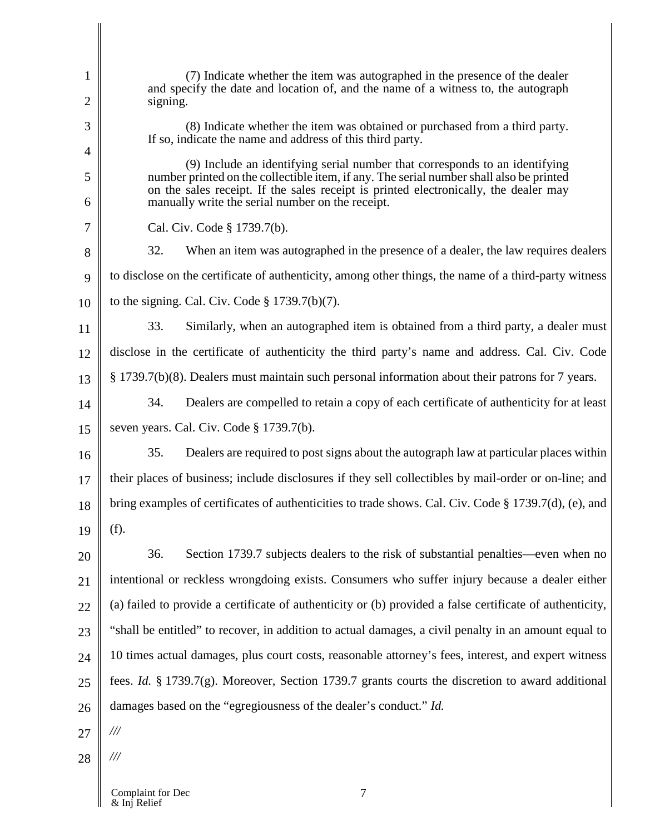| 1      | (7) Indicate whether the item was autographed in the presence of the dealer<br>and specify the date and location of, and the name of a witness to, the autograph                                                                    |  |  |
|--------|-------------------------------------------------------------------------------------------------------------------------------------------------------------------------------------------------------------------------------------|--|--|
| 2      | signing.                                                                                                                                                                                                                            |  |  |
| 3      | (8) Indicate whether the item was obtained or purchased from a third party.<br>If so, indicate the name and address of this third party.                                                                                            |  |  |
| 4      | (9) Include an identifying serial number that corresponds to an identifying                                                                                                                                                         |  |  |
| 5<br>6 | number printed on the collectible item, if any. The serial number shall also be printed<br>on the sales receipt. If the sales receipt is printed electronically, the dealer may<br>manually write the serial number on the receipt. |  |  |
| 7      | Cal. Civ. Code § 1739.7(b).                                                                                                                                                                                                         |  |  |
| 8      | 32.<br>When an item was autographed in the presence of a dealer, the law requires dealers                                                                                                                                           |  |  |
| 9      | to disclose on the certificate of authenticity, among other things, the name of a third-party witness                                                                                                                               |  |  |
|        | to the signing. Cal. Civ. Code $\S 1739.7(b)(7)$ .                                                                                                                                                                                  |  |  |
| 10     |                                                                                                                                                                                                                                     |  |  |
| 11     | 33.<br>Similarly, when an autographed item is obtained from a third party, a dealer must                                                                                                                                            |  |  |
| 12     | disclose in the certificate of authenticity the third party's name and address. Cal. Civ. Code                                                                                                                                      |  |  |
| 13     | § 1739.7(b)(8). Dealers must maintain such personal information about their patrons for 7 years.                                                                                                                                    |  |  |
| 14     | 34.<br>Dealers are compelled to retain a copy of each certificate of authenticity for at least                                                                                                                                      |  |  |
| 15     | seven years. Cal. Civ. Code § 1739.7(b).                                                                                                                                                                                            |  |  |
| 16     | 35.<br>Dealers are required to post signs about the autograph law at particular places within                                                                                                                                       |  |  |
| 17     | their places of business; include disclosures if they sell collectibles by mail-order or on-line; and                                                                                                                               |  |  |
| 18     | bring examples of certificates of authenticities to trade shows. Cal. Civ. Code $\S 1739.7(d)$ , (e), and                                                                                                                           |  |  |
| 19     | (f).                                                                                                                                                                                                                                |  |  |
| 20     | 36.<br>Section 1739.7 subjects dealers to the risk of substantial penalties—even when no                                                                                                                                            |  |  |
| 21     | intentional or reckless wrongdoing exists. Consumers who suffer injury because a dealer either                                                                                                                                      |  |  |
| 22     | (a) failed to provide a certificate of authenticity or (b) provided a false certificate of authenticity,                                                                                                                            |  |  |
| 23     | "shall be entitled" to recover, in addition to actual damages, a civil penalty in an amount equal to                                                                                                                                |  |  |
| 24     | 10 times actual damages, plus court costs, reasonable attorney's fees, interest, and expert witness                                                                                                                                 |  |  |
| 25     | fees. <i>Id.</i> § 1739.7(g). Moreover, Section 1739.7 grants courts the discretion to award additional                                                                                                                             |  |  |
| 26     | damages based on the "egregiousness of the dealer's conduct." Id.                                                                                                                                                                   |  |  |
| 27     | $\frac{1}{1}$                                                                                                                                                                                                                       |  |  |
| 28     | ///                                                                                                                                                                                                                                 |  |  |
|        | Complaint for Dec<br>7                                                                                                                                                                                                              |  |  |

& Inj Relief

I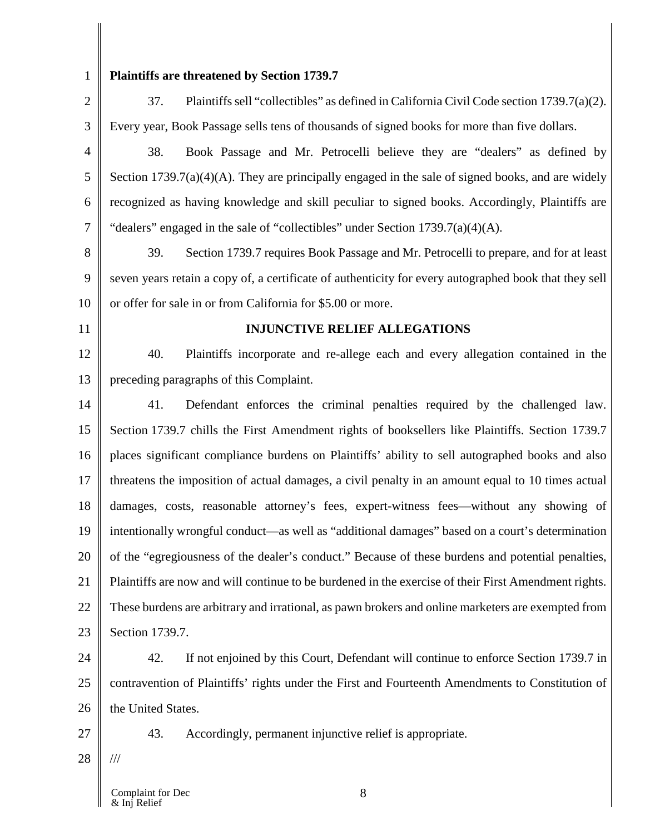1 2

3

## **Plaintiffs are threatened by Section 1739.7**

37. Plaintiffs sell "collectibles" as defined in California Civil Code section 1739.7(a)(2). Every year, Book Passage sells tens of thousands of signed books for more than five dollars.

4 5 6 7 38. Book Passage and Mr. Petrocelli believe they are "dealers" as defined by Section 1739.7(a)(4)(A). They are principally engaged in the sale of signed books, and are widely recognized as having knowledge and skill peculiar to signed books. Accordingly, Plaintiffs are "dealers" engaged in the sale of "collectibles" under Section 1739.7(a)(4)(A).

8 9 10 39. Section 1739.7 requires Book Passage and Mr. Petrocelli to prepare, and for at least seven years retain a copy of, a certificate of authenticity for every autographed book that they sell or offer for sale in or from California for \$5.00 or more.

11

### **INJUNCTIVE RELIEF ALLEGATIONS**

12 13 40. Plaintiffs incorporate and re-allege each and every allegation contained in the preceding paragraphs of this Complaint.

14 15 16 17 18 19 20 21 22 23 41. Defendant enforces the criminal penalties required by the challenged law. Section 1739.7 chills the First Amendment rights of booksellers like Plaintiffs. Section 1739.7 places significant compliance burdens on Plaintiffs' ability to sell autographed books and also threatens the imposition of actual damages, a civil penalty in an amount equal to 10 times actual damages, costs, reasonable attorney's fees, expert-witness fees—without any showing of intentionally wrongful conduct—as well as "additional damages" based on a court's determination of the "egregiousness of the dealer's conduct." Because of these burdens and potential penalties, Plaintiffs are now and will continue to be burdened in the exercise of their First Amendment rights. These burdens are arbitrary and irrational, as pawn brokers and online marketers are exempted from Section 1739.7.

24 25 26 42. If not enjoined by this Court, Defendant will continue to enforce Section 1739.7 in contravention of Plaintiffs' rights under the First and Fourteenth Amendments to Constitution of the United States.

27

43. Accordingly, permanent injunctive relief is appropriate.

28 ///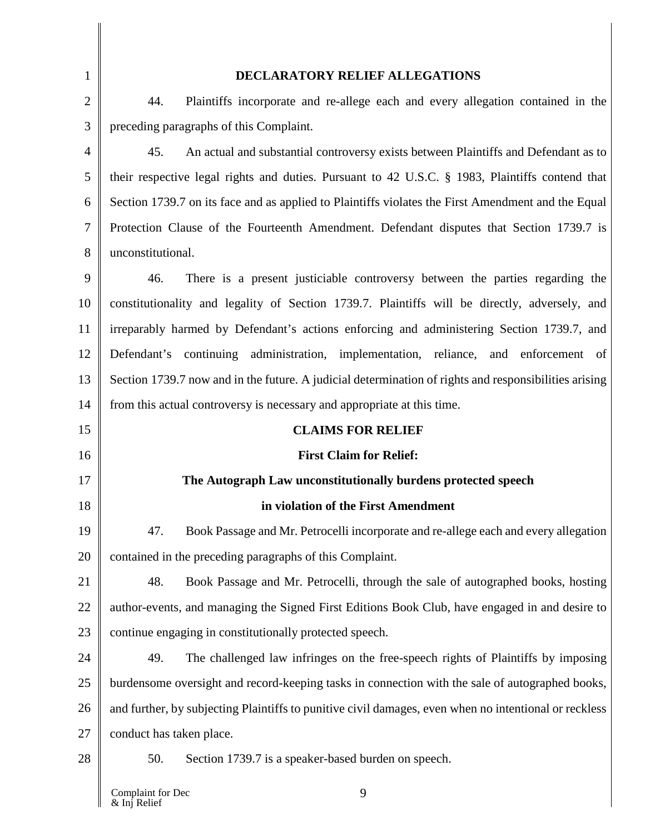| 1              | DECLARATORY RELIEF ALLEGATIONS                                                                        |  |
|----------------|-------------------------------------------------------------------------------------------------------|--|
| $\overline{2}$ | 44.<br>Plaintiffs incorporate and re-allege each and every allegation contained in the                |  |
| 3              | preceding paragraphs of this Complaint.                                                               |  |
| $\overline{4}$ | 45.<br>An actual and substantial controversy exists between Plaintiffs and Defendant as to            |  |
| 5              | their respective legal rights and duties. Pursuant to 42 U.S.C. § 1983, Plaintiffs contend that       |  |
| 6              | Section 1739.7 on its face and as applied to Plaintiffs violates the First Amendment and the Equal    |  |
| 7              | Protection Clause of the Fourteenth Amendment. Defendant disputes that Section 1739.7 is              |  |
| 8              | unconstitutional.                                                                                     |  |
| 9              | 46.<br>There is a present justiciable controversy between the parties regarding the                   |  |
| 10             | constitutionality and legality of Section 1739.7. Plaintiffs will be directly, adversely, and         |  |
| 11             | irreparably harmed by Defendant's actions enforcing and administering Section 1739.7, and             |  |
| 12             | Defendant's continuing administration, implementation, reliance, and enforcement of                   |  |
| 13             | Section 1739.7 now and in the future. A judicial determination of rights and responsibilities arising |  |
| 14             | from this actual controversy is necessary and appropriate at this time.                               |  |
| 15             | <b>CLAIMS FOR RELIEF</b>                                                                              |  |
| 16             | <b>First Claim for Relief:</b>                                                                        |  |
| 17             | The Autograph Law unconstitutionally burdens protected speech                                         |  |
| 18             | in violation of the First Amendment                                                                   |  |
| 19             | 47.<br>Book Passage and Mr. Petrocelli incorporate and re-allege each and every allegation            |  |
| 20             | contained in the preceding paragraphs of this Complaint.                                              |  |
| 21             | 48.<br>Book Passage and Mr. Petrocelli, through the sale of autographed books, hosting                |  |
| 22             | author-events, and managing the Signed First Editions Book Club, have engaged in and desire to        |  |
| 23             | continue engaging in constitutionally protected speech.                                               |  |
| 24             | 49.<br>The challenged law infringes on the free-speech rights of Plaintiffs by imposing               |  |
| 25             | burdensome oversight and record-keeping tasks in connection with the sale of autographed books,       |  |
| 26             | and further, by subjecting Plaintiffs to punitive civil damages, even when no intentional or reckless |  |
| 27             | conduct has taken place.                                                                              |  |
| 28             | 50.<br>Section 1739.7 is a speaker-based burden on speech.                                            |  |
|                |                                                                                                       |  |

 $\mathbf l$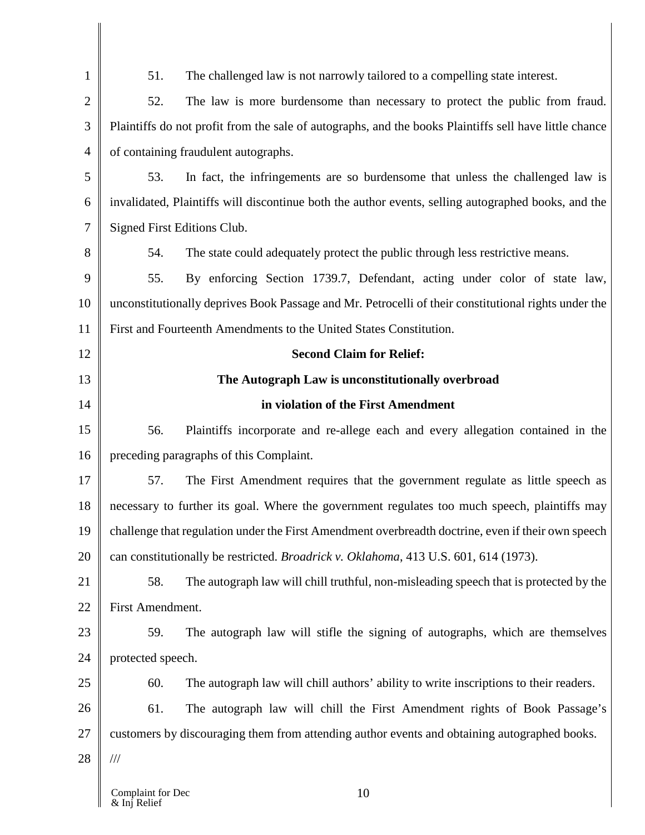| $\mathbf{1}$   | 51.                                                                                                    | The challenged law is not narrowly tailored to a compelling state interest.                         |
|----------------|--------------------------------------------------------------------------------------------------------|-----------------------------------------------------------------------------------------------------|
| $\overline{2}$ | 52.                                                                                                    | The law is more burdensome than necessary to protect the public from fraud.                         |
| 3              | Plaintiffs do not profit from the sale of autographs, and the books Plaintiffs sell have little chance |                                                                                                     |
| $\overline{4}$ | of containing fraudulent autographs.                                                                   |                                                                                                     |
| 5              | 53.                                                                                                    | In fact, the infringements are so burdensome that unless the challenged law is                      |
| 6              |                                                                                                        | invalidated, Plaintiffs will discontinue both the author events, selling autographed books, and the |
| $\overline{7}$ | Signed First Editions Club.                                                                            |                                                                                                     |
| 8              | 54.                                                                                                    | The state could adequately protect the public through less restrictive means.                       |
| 9              | 55.                                                                                                    | By enforcing Section 1739.7, Defendant, acting under color of state law,                            |
| 10             | unconstitutionally deprives Book Passage and Mr. Petrocelli of their constitutional rights under the   |                                                                                                     |
| 11             | First and Fourteenth Amendments to the United States Constitution.                                     |                                                                                                     |
| 12             |                                                                                                        | <b>Second Claim for Relief:</b>                                                                     |
| 13             |                                                                                                        | The Autograph Law is unconstitutionally overbroad                                                   |
| 14             |                                                                                                        | in violation of the First Amendment                                                                 |
| 15             | 56.                                                                                                    | Plaintiffs incorporate and re-allege each and every allegation contained in the                     |
| 16             | preceding paragraphs of this Complaint.                                                                |                                                                                                     |
| 17             | 57.                                                                                                    | The First Amendment requires that the government regulate as little speech as                       |
| 18             | necessary to further its goal. Where the government regulates too much speech, plaintiffs may          |                                                                                                     |
| 19             | challenge that regulation under the First Amendment overbreadth doctrine, even if their own speech     |                                                                                                     |
| 20             | can constitutionally be restricted. Broadrick v. Oklahoma, 413 U.S. 601, 614 (1973).                   |                                                                                                     |
| 21             | 58.                                                                                                    | The autograph law will chill truthful, non-misleading speech that is protected by the               |
| 22             | First Amendment.                                                                                       |                                                                                                     |
| 23             | 59.                                                                                                    | The autograph law will stifle the signing of autographs, which are themselves                       |
| 24             | protected speech.                                                                                      |                                                                                                     |
| 25             | 60.                                                                                                    | The autograph law will chill authors' ability to write inscriptions to their readers.               |
| 26             | 61.                                                                                                    | The autograph law will chill the First Amendment rights of Book Passage's                           |
| 27             | customers by discouraging them from attending author events and obtaining autographed books.           |                                                                                                     |
| 28             | $\frac{1}{1}$                                                                                          |                                                                                                     |
|                | Complaint for Dec<br>& Inj Relief                                                                      | 10                                                                                                  |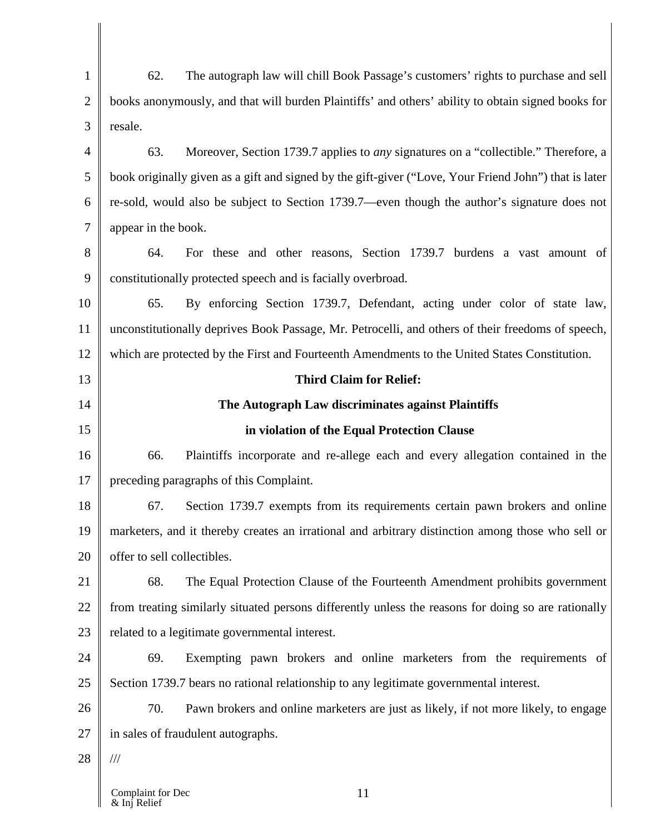1 2 3 4 5 6 7 8 9 10 11 12 13 14 15 16 17 18 19 20 21 22 23 24 25 26 27 28 62. The autograph law will chill Book Passage's customers' rights to purchase and sell books anonymously, and that will burden Plaintiffs' and others' ability to obtain signed books for resale. 63. Moreover, Section 1739.7 applies to *any* signatures on a "collectible." Therefore, a book originally given as a gift and signed by the gift-giver ("Love, Your Friend John") that is later re-sold, would also be subject to Section 1739.7—even though the author's signature does not appear in the book. 64. For these and other reasons, Section 1739.7 burdens a vast amount of constitutionally protected speech and is facially overbroad. 65. By enforcing Section 1739.7, Defendant, acting under color of state law, unconstitutionally deprives Book Passage, Mr. Petrocelli, and others of their freedoms of speech, which are protected by the First and Fourteenth Amendments to the United States Constitution. **Third Claim for Relief: The Autograph Law discriminates against Plaintiffs in violation of the Equal Protection Clause** 66. Plaintiffs incorporate and re-allege each and every allegation contained in the preceding paragraphs of this Complaint. 67. Section 1739.7 exempts from its requirements certain pawn brokers and online marketers, and it thereby creates an irrational and arbitrary distinction among those who sell or offer to sell collectibles. 68. The Equal Protection Clause of the Fourteenth Amendment prohibits government from treating similarly situated persons differently unless the reasons for doing so are rationally related to a legitimate governmental interest. 69. Exempting pawn brokers and online marketers from the requirements of Section 1739.7 bears no rational relationship to any legitimate governmental interest. 70. Pawn brokers and online marketers are just as likely, if not more likely, to engage in sales of fraudulent autographs. ///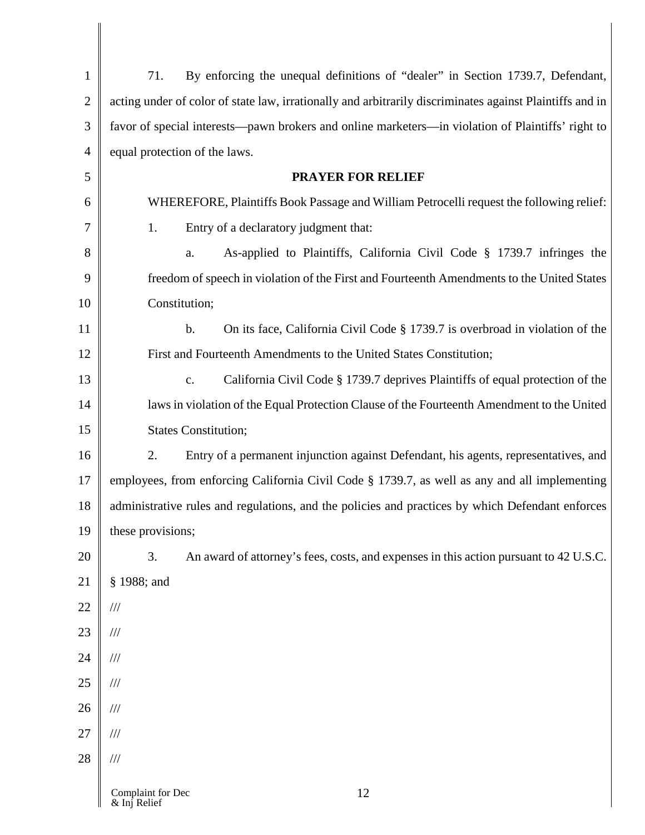| $\mathbf{1}$   | By enforcing the unequal definitions of "dealer" in Section 1739.7, Defendant,<br>71.                    |  |
|----------------|----------------------------------------------------------------------------------------------------------|--|
| $\overline{2}$ | acting under of color of state law, irrationally and arbitrarily discriminates against Plaintiffs and in |  |
| 3              | favor of special interests—pawn brokers and online marketers—in violation of Plaintiffs' right to        |  |
| $\overline{4}$ | equal protection of the laws.                                                                            |  |
| 5              | <b>PRAYER FOR RELIEF</b>                                                                                 |  |
| 6              | WHEREFORE, Plaintiffs Book Passage and William Petrocelli request the following relief:                  |  |
| $\tau$         | 1.<br>Entry of a declaratory judgment that:                                                              |  |
| 8              | As-applied to Plaintiffs, California Civil Code § 1739.7 infringes the<br>a.                             |  |
| 9              | freedom of speech in violation of the First and Fourteenth Amendments to the United States               |  |
| 10             | Constitution;                                                                                            |  |
| 11             | $\mathbf b$ .<br>On its face, California Civil Code § 1739.7 is overbroad in violation of the            |  |
| 12             | First and Fourteenth Amendments to the United States Constitution;                                       |  |
| 13             | California Civil Code § 1739.7 deprives Plaintiffs of equal protection of the<br>c.                      |  |
| 14             | laws in violation of the Equal Protection Clause of the Fourteenth Amendment to the United               |  |
| 15             | <b>States Constitution;</b>                                                                              |  |
| 16             | Entry of a permanent injunction against Defendant, his agents, representatives, and<br>2.                |  |
| 17             | employees, from enforcing California Civil Code § 1739.7, as well as any and all implementing            |  |
| 18             | administrative rules and regulations, and the policies and practices by which Defendant enforces         |  |
| 19             | these provisions;                                                                                        |  |
| 20             | 3.<br>An award of attorney's fees, costs, and expenses in this action pursuant to 42 U.S.C.              |  |
| 21             | § 1988; and                                                                                              |  |
| 22             | $/\!/ \!/$                                                                                               |  |
| 23             | $/\!/ \!/$                                                                                               |  |
| 24             | $/\!/ \!/$                                                                                               |  |
| 25             | $/\!/ \!/$                                                                                               |  |
| 26             | $/\!/ \!/$                                                                                               |  |
| 27             | $/\!/ \!/$                                                                                               |  |
| 28             | $/\!/ \!/$                                                                                               |  |
|                | Complaint for Dec<br>12<br>& Inj Relief                                                                  |  |

& Inj Relief